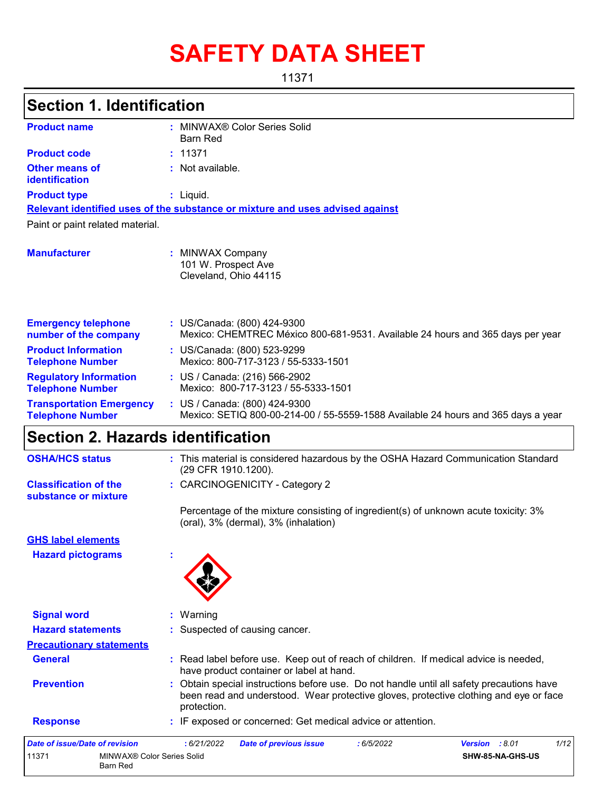# **SAFETY DATA SHEET**

11371

| <b>Section 1. Identification</b>                           |                                                                                                                                                                                                 |  |  |  |
|------------------------------------------------------------|-------------------------------------------------------------------------------------------------------------------------------------------------------------------------------------------------|--|--|--|
| <b>Product name</b>                                        | : MINWAX® Color Series Solid                                                                                                                                                                    |  |  |  |
|                                                            | <b>Barn Red</b>                                                                                                                                                                                 |  |  |  |
| <b>Product code</b>                                        | : 11371                                                                                                                                                                                         |  |  |  |
| <b>Other means of</b><br><b>identification</b>             | : Not available.                                                                                                                                                                                |  |  |  |
| <b>Product type</b>                                        | : Liquid.                                                                                                                                                                                       |  |  |  |
|                                                            | Relevant identified uses of the substance or mixture and uses advised against                                                                                                                   |  |  |  |
| Paint or paint related material.                           |                                                                                                                                                                                                 |  |  |  |
| <b>Manufacturer</b>                                        | : MINWAX Company<br>101 W. Prospect Ave<br>Cleveland, Ohio 44115                                                                                                                                |  |  |  |
| <b>Emergency telephone</b><br>number of the company        | : US/Canada: (800) 424-9300<br>Mexico: CHEMTREC México 800-681-9531. Available 24 hours and 365 days per year                                                                                   |  |  |  |
| <b>Product Information</b><br><b>Telephone Number</b>      | : US/Canada: (800) 523-9299<br>Mexico: 800-717-3123 / 55-5333-1501                                                                                                                              |  |  |  |
| <b>Regulatory Information</b><br><b>Telephone Number</b>   | : US / Canada: (216) 566-2902<br>Mexico: 800-717-3123 / 55-5333-1501                                                                                                                            |  |  |  |
| <b>Transportation Emergency</b><br><b>Telephone Number</b> | : US / Canada: (800) 424-9300<br>Mexico: SETIQ 800-00-214-00 / 55-5559-1588 Available 24 hours and 365 days a year                                                                              |  |  |  |
| <b>Section 2. Hazards identification</b>                   |                                                                                                                                                                                                 |  |  |  |
| <b>OSHA/HCS status</b>                                     | : This material is considered hazardous by the OSHA Hazard Communication Standard<br>(29 CFR 1910.1200).                                                                                        |  |  |  |
| <b>Classification of the</b><br>substance or mixture       | : CARCINOGENICITY - Category 2                                                                                                                                                                  |  |  |  |
|                                                            | Percentage of the mixture consisting of ingredient(s) of unknown acute toxicity: 3%<br>(oral), 3% (dermal), 3% (inhalation)                                                                     |  |  |  |
| <b>GHS label elements</b>                                  |                                                                                                                                                                                                 |  |  |  |
| <b>Hazard pictograms</b>                                   |                                                                                                                                                                                                 |  |  |  |
| <b>Signal word</b>                                         | Warning                                                                                                                                                                                         |  |  |  |
| <b>Hazard statements</b>                                   | Suspected of causing cancer.                                                                                                                                                                    |  |  |  |
| <b>Precautionary statements</b>                            |                                                                                                                                                                                                 |  |  |  |
| <b>General</b>                                             | Read label before use. Keep out of reach of children. If medical advice is needed,<br>have product container or label at hand.                                                                  |  |  |  |
| <b>Prevention</b>                                          | Obtain special instructions before use. Do not handle until all safety precautions have<br>been read and understood. Wear protective gloves, protective clothing and eye or face<br>protection. |  |  |  |

### **Response :** IF exposed or concerned: Get medical advice or attention.

| Date of issue/Date of revision |                                        | : 6/21/2022 | <b>Date of previous issue</b> | : 6/5/2022 | <b>Version</b> : 8.01 |                         | 1/12 |
|--------------------------------|----------------------------------------|-------------|-------------------------------|------------|-----------------------|-------------------------|------|
| 11371                          | MINWAX® Color Series Solid<br>Barn Red |             |                               |            |                       | <b>SHW-85-NA-GHS-US</b> |      |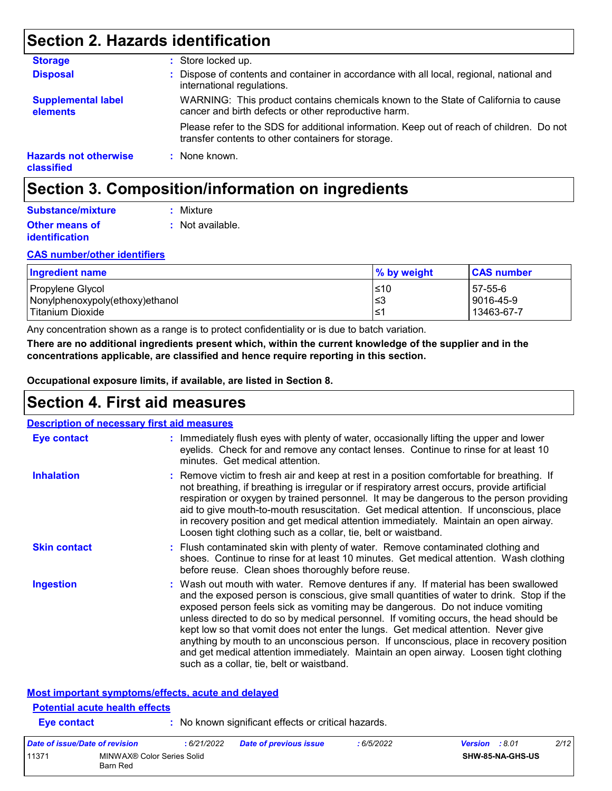# **Section 2. Hazards identification**

| <b>Storage</b>                             | : Store locked up.                                                                                                                              |
|--------------------------------------------|-------------------------------------------------------------------------------------------------------------------------------------------------|
| <b>Disposal</b>                            | : Dispose of contents and container in accordance with all local, regional, national and<br>international regulations.                          |
| <b>Supplemental label</b><br>elements      | WARNING: This product contains chemicals known to the State of California to cause<br>cancer and birth defects or other reproductive harm.      |
|                                            | Please refer to the SDS for additional information. Keep out of reach of children. Do not<br>transfer contents to other containers for storage. |
| <b>Hazards not otherwise</b><br>classified | : None known.                                                                                                                                   |

# **Section 3. Composition/information on ingredients**

| Substance/mixture     | : Mixture        |
|-----------------------|------------------|
| <b>Other means of</b> | : Not available. |
| <i>identification</i> |                  |

#### **CAS number/other identifiers**

| <b>Ingredient name</b>          | % by weight | <b>CAS number</b> |
|---------------------------------|-------------|-------------------|
| Propylene Glycol                | l≤10        | 57-55-6           |
| Nonylphenoxypoly(ethoxy)ethanol | l≤3         | 9016-45-9         |
| Titanium Dioxide                | ^≥ı         | 13463-67-7        |

Any concentration shown as a range is to protect confidentiality or is due to batch variation.

**There are no additional ingredients present which, within the current knowledge of the supplier and in the concentrations applicable, are classified and hence require reporting in this section.**

**Occupational exposure limits, if available, are listed in Section 8.**

## **Section 4. First aid measures**

| <b>Description of necessary first aid measures</b> |                                                                                                                                                                                                                                                                                                                                                                                                                                                                                                                                                                                                                                                                                   |
|----------------------------------------------------|-----------------------------------------------------------------------------------------------------------------------------------------------------------------------------------------------------------------------------------------------------------------------------------------------------------------------------------------------------------------------------------------------------------------------------------------------------------------------------------------------------------------------------------------------------------------------------------------------------------------------------------------------------------------------------------|
| Eye contact                                        | : Immediately flush eyes with plenty of water, occasionally lifting the upper and lower<br>eyelids. Check for and remove any contact lenses. Continue to rinse for at least 10<br>minutes. Get medical attention.                                                                                                                                                                                                                                                                                                                                                                                                                                                                 |
| <b>Inhalation</b>                                  | : Remove victim to fresh air and keep at rest in a position comfortable for breathing. If<br>not breathing, if breathing is irregular or if respiratory arrest occurs, provide artificial<br>respiration or oxygen by trained personnel. It may be dangerous to the person providing<br>aid to give mouth-to-mouth resuscitation. Get medical attention. If unconscious, place<br>in recovery position and get medical attention immediately. Maintain an open airway.<br>Loosen tight clothing such as a collar, tie, belt or waistband.                                                                                                                                         |
| <b>Skin contact</b>                                | : Flush contaminated skin with plenty of water. Remove contaminated clothing and<br>shoes. Continue to rinse for at least 10 minutes. Get medical attention. Wash clothing<br>before reuse. Clean shoes thoroughly before reuse.                                                                                                                                                                                                                                                                                                                                                                                                                                                  |
| <b>Ingestion</b>                                   | : Wash out mouth with water. Remove dentures if any. If material has been swallowed<br>and the exposed person is conscious, give small quantities of water to drink. Stop if the<br>exposed person feels sick as vomiting may be dangerous. Do not induce vomiting<br>unless directed to do so by medical personnel. If vomiting occurs, the head should be<br>kept low so that vomit does not enter the lungs. Get medical attention. Never give<br>anything by mouth to an unconscious person. If unconscious, place in recovery position<br>and get medical attention immediately. Maintain an open airway. Loosen tight clothing<br>such as a collar, tie, belt or waistband. |

### **Most important symptoms/effects, acute and delayed**

Barn Red

| <b>Eve contact</b> | <b>Potential acute health effects</b> |             | : No known significant effects or critical hazards. |            |                       |                  |      |
|--------------------|---------------------------------------|-------------|-----------------------------------------------------|------------|-----------------------|------------------|------|
|                    | Date of issue/Date of revision        | : 6/21/2022 | <b>Date of previous issue</b>                       | : 6/5/2022 | <b>Version</b> : 8.01 |                  | 2/12 |
| 11371              | MINWAX® Color Series Solid            |             |                                                     |            |                       | SHW-85-NA-GHS-US |      |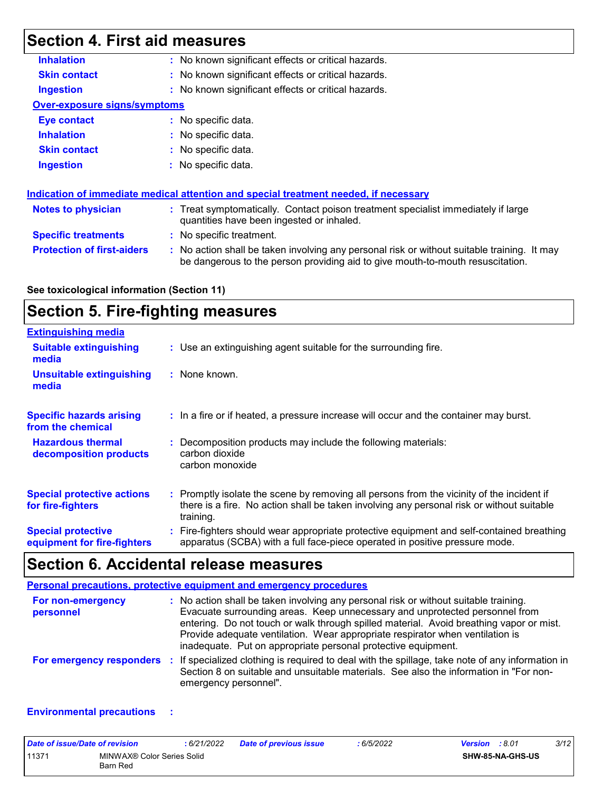# **Section 4. First aid measures**

| <b>Inhalation</b>                   | : No known significant effects or critical hazards.                                                                                                                           |
|-------------------------------------|-------------------------------------------------------------------------------------------------------------------------------------------------------------------------------|
| <b>Skin contact</b>                 | : No known significant effects or critical hazards.                                                                                                                           |
| <b>Ingestion</b>                    | : No known significant effects or critical hazards.                                                                                                                           |
| <b>Over-exposure signs/symptoms</b> |                                                                                                                                                                               |
| Eye contact                         | : No specific data.                                                                                                                                                           |
| <b>Inhalation</b>                   | : No specific data.                                                                                                                                                           |
| <b>Skin contact</b>                 | $:$ No specific data.                                                                                                                                                         |
| <b>Ingestion</b>                    | $\therefore$ No specific data.                                                                                                                                                |
|                                     | Indication of immediate medical attention and special treatment needed, if necessary                                                                                          |
| <b>Notes to physician</b>           | : Treat symptomatically. Contact poison treatment specialist immediately if large<br>quantities have been ingested or inhaled.                                                |
| <b>Specific treatments</b>          | : No specific treatment.                                                                                                                                                      |
| <b>Protection of first-aiders</b>   | : No action shall be taken involving any personal risk or without suitable training. It may<br>be dangerous to the person providing aid to give mouth-to-mouth resuscitation. |
|                                     |                                                                                                                                                                               |

### **See toxicological information (Section 11)**

# **Section 5. Fire-fighting measures**

| <b>Extinguishing media</b>                               |                                                                                                                                                                                                     |
|----------------------------------------------------------|-----------------------------------------------------------------------------------------------------------------------------------------------------------------------------------------------------|
| <b>Suitable extinguishing</b><br>media                   | : Use an extinguishing agent suitable for the surrounding fire.                                                                                                                                     |
| <b>Unsuitable extinguishing</b><br>media                 | : None known.                                                                                                                                                                                       |
| <b>Specific hazards arising</b><br>from the chemical     | : In a fire or if heated, a pressure increase will occur and the container may burst.                                                                                                               |
| <b>Hazardous thermal</b><br>decomposition products       | Decomposition products may include the following materials:<br>carbon dioxide<br>carbon monoxide                                                                                                    |
| <b>Special protective actions</b><br>for fire-fighters   | : Promptly isolate the scene by removing all persons from the vicinity of the incident if<br>there is a fire. No action shall be taken involving any personal risk or without suitable<br>training. |
| <b>Special protective</b><br>equipment for fire-fighters | : Fire-fighters should wear appropriate protective equipment and self-contained breathing<br>apparatus (SCBA) with a full face-piece operated in positive pressure mode.                            |

# **Section 6. Accidental release measures**

|                                | Personal precautions, protective equipment and emergency procedures                                                                                                                                                                                                                                                                                                                                              |
|--------------------------------|------------------------------------------------------------------------------------------------------------------------------------------------------------------------------------------------------------------------------------------------------------------------------------------------------------------------------------------------------------------------------------------------------------------|
| For non-emergency<br>personnel | : No action shall be taken involving any personal risk or without suitable training.<br>Evacuate surrounding areas. Keep unnecessary and unprotected personnel from<br>entering. Do not touch or walk through spilled material. Avoid breathing vapor or mist.<br>Provide adequate ventilation. Wear appropriate respirator when ventilation is<br>inadequate. Put on appropriate personal protective equipment. |
|                                | For emergency responders : If specialized clothing is required to deal with the spillage, take note of any information in<br>Section 8 on suitable and unsuitable materials. See also the information in "For non-<br>emergency personnel".                                                                                                                                                                      |

#### **Environmental precautions :**

| Date of issue/Date of revision |                                        | : 6/21/2022 | <b>Date of previous issue</b> | : 6/5/2022 | 3/12<br><b>Version</b> : 8.01 |
|--------------------------------|----------------------------------------|-------------|-------------------------------|------------|-------------------------------|
| 11371                          | MINWAX® Color Series Solid<br>Barn Red |             |                               |            | <b>SHW-85-NA-GHS-US</b>       |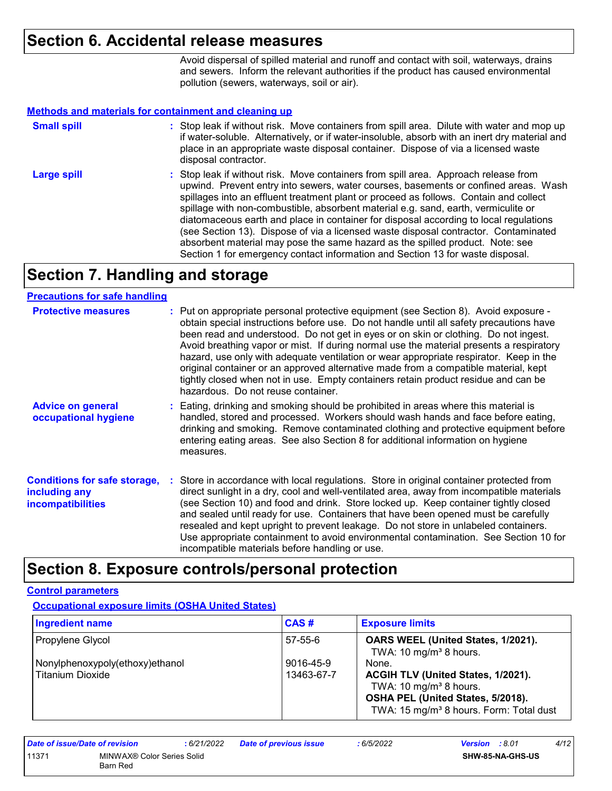### **Section 6. Accidental release measures**

Avoid dispersal of spilled material and runoff and contact with soil, waterways, drains and sewers. Inform the relevant authorities if the product has caused environmental pollution (sewers, waterways, soil or air).

#### **Methods and materials for containment and cleaning up**

| <b>Small spill</b> | : Stop leak if without risk. Move containers from spill area. Dilute with water and mop up<br>if water-soluble. Alternatively, or if water-insoluble, absorb with an inert dry material and<br>place in an appropriate waste disposal container. Dispose of via a licensed waste<br>disposal contractor.                                                                                                                                                                                                                                                                                                                                                                                                     |
|--------------------|--------------------------------------------------------------------------------------------------------------------------------------------------------------------------------------------------------------------------------------------------------------------------------------------------------------------------------------------------------------------------------------------------------------------------------------------------------------------------------------------------------------------------------------------------------------------------------------------------------------------------------------------------------------------------------------------------------------|
| <b>Large spill</b> | : Stop leak if without risk. Move containers from spill area. Approach release from<br>upwind. Prevent entry into sewers, water courses, basements or confined areas. Wash<br>spillages into an effluent treatment plant or proceed as follows. Contain and collect<br>spillage with non-combustible, absorbent material e.g. sand, earth, vermiculite or<br>diatomaceous earth and place in container for disposal according to local regulations<br>(see Section 13). Dispose of via a licensed waste disposal contractor. Contaminated<br>absorbent material may pose the same hazard as the spilled product. Note: see<br>Section 1 for emergency contact information and Section 13 for waste disposal. |

## **Section 7. Handling and storage**

### **Precautions for safe handling**

| <b>Protective measures</b>                                                       | : Put on appropriate personal protective equipment (see Section 8). Avoid exposure -<br>obtain special instructions before use. Do not handle until all safety precautions have<br>been read and understood. Do not get in eyes or on skin or clothing. Do not ingest.<br>Avoid breathing vapor or mist. If during normal use the material presents a respiratory<br>hazard, use only with adequate ventilation or wear appropriate respirator. Keep in the<br>original container or an approved alternative made from a compatible material, kept<br>tightly closed when not in use. Empty containers retain product residue and can be<br>hazardous. Do not reuse container. |
|----------------------------------------------------------------------------------|--------------------------------------------------------------------------------------------------------------------------------------------------------------------------------------------------------------------------------------------------------------------------------------------------------------------------------------------------------------------------------------------------------------------------------------------------------------------------------------------------------------------------------------------------------------------------------------------------------------------------------------------------------------------------------|
| <b>Advice on general</b><br>occupational hygiene                                 | : Eating, drinking and smoking should be prohibited in areas where this material is<br>handled, stored and processed. Workers should wash hands and face before eating,<br>drinking and smoking. Remove contaminated clothing and protective equipment before<br>entering eating areas. See also Section 8 for additional information on hygiene<br>measures.                                                                                                                                                                                                                                                                                                                  |
| <b>Conditions for safe storage,</b><br>including any<br><b>incompatibilities</b> | : Store in accordance with local regulations. Store in original container protected from<br>direct sunlight in a dry, cool and well-ventilated area, away from incompatible materials<br>(see Section 10) and food and drink. Store locked up. Keep container tightly closed<br>and sealed until ready for use. Containers that have been opened must be carefully<br>resealed and kept upright to prevent leakage. Do not store in unlabeled containers.<br>Use appropriate containment to avoid environmental contamination. See Section 10 for<br>incompatible materials before handling or use.                                                                            |

### **Section 8. Exposure controls/personal protection**

#### **Control parameters**

**Occupational exposure limits (OSHA United States)**

| <b>Ingredient name</b>                              | CAS#                    | <b>Exposure limits</b>                                                                                                                                                        |
|-----------------------------------------------------|-------------------------|-------------------------------------------------------------------------------------------------------------------------------------------------------------------------------|
| Propylene Glycol                                    | 57-55-6                 | OARS WEEL (United States, 1/2021).<br>TWA: $10 \text{ mg/m}^3$ 8 hours.                                                                                                       |
| Nonylphenoxypoly(ethoxy)ethanol<br>Titanium Dioxide | 9016-45-9<br>13463-67-7 | None.<br>ACGIH TLV (United States, 1/2021).<br>TWA: 10 mg/m <sup>3</sup> 8 hours.<br>OSHA PEL (United States, 5/2018).<br>TWA: 15 mg/m <sup>3</sup> 8 hours. Form: Total dust |

| Date of issue/Date of revision |                                        | : 6/21/2022 | Date of previous issue | : 6/5/2022 | <b>Version</b> : 8.01 |                         | 4/12 |
|--------------------------------|----------------------------------------|-------------|------------------------|------------|-----------------------|-------------------------|------|
| 11371                          | MINWAX® Color Series Solid<br>Barn Red |             |                        |            |                       | <b>SHW-85-NA-GHS-US</b> |      |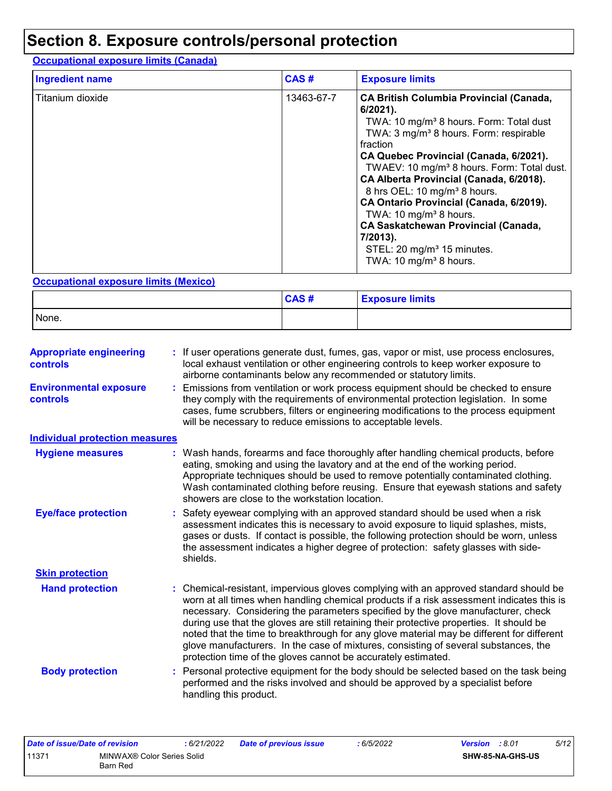# **Section 8. Exposure controls/personal protection**

### **Occupational exposure limits (Canada)**

| <b>Ingredient name</b> | CAS#       | <b>Exposure limits</b>                                                                                                                                                                                                                                                                                                                                                                                                                                                                                                                                                                                       |
|------------------------|------------|--------------------------------------------------------------------------------------------------------------------------------------------------------------------------------------------------------------------------------------------------------------------------------------------------------------------------------------------------------------------------------------------------------------------------------------------------------------------------------------------------------------------------------------------------------------------------------------------------------------|
| Titanium dioxide       | 13463-67-7 | <b>CA British Columbia Provincial (Canada,</b><br>$6/2021$ ).<br>TWA: 10 mg/m <sup>3</sup> 8 hours. Form: Total dust<br>TWA: 3 mg/m <sup>3</sup> 8 hours. Form: respirable<br>fraction<br>CA Quebec Provincial (Canada, 6/2021).<br>TWAEV: 10 mg/m <sup>3</sup> 8 hours. Form: Total dust.<br>CA Alberta Provincial (Canada, 6/2018).<br>8 hrs OEL: 10 mg/m <sup>3</sup> 8 hours.<br>CA Ontario Provincial (Canada, 6/2019).<br>TWA: 10 mg/m <sup>3</sup> 8 hours.<br><b>CA Saskatchewan Provincial (Canada,</b><br>7/2013).<br>STEL: 20 mg/m <sup>3</sup> 15 minutes.<br>TWA: 10 mg/m <sup>3</sup> 8 hours. |

### **Occupational exposure limits (Mexico)**

|       | CAS# | <b>Exposure limits</b> |
|-------|------|------------------------|
| None. |      |                        |

| <b>Appropriate engineering</b><br><b>controls</b> | : If user operations generate dust, fumes, gas, vapor or mist, use process enclosures,<br>local exhaust ventilation or other engineering controls to keep worker exposure to<br>airborne contaminants below any recommended or statutory limits.                                                                                                                                                                                                                                                                                                                                                                     |
|---------------------------------------------------|----------------------------------------------------------------------------------------------------------------------------------------------------------------------------------------------------------------------------------------------------------------------------------------------------------------------------------------------------------------------------------------------------------------------------------------------------------------------------------------------------------------------------------------------------------------------------------------------------------------------|
| <b>Environmental exposure</b><br><b>controls</b>  | Emissions from ventilation or work process equipment should be checked to ensure<br>they comply with the requirements of environmental protection legislation. In some<br>cases, fume scrubbers, filters or engineering modifications to the process equipment<br>will be necessary to reduce emissions to acceptable levels.                                                                                                                                                                                                                                                                                        |
| <b>Individual protection measures</b>             |                                                                                                                                                                                                                                                                                                                                                                                                                                                                                                                                                                                                                      |
| <b>Hygiene measures</b>                           | : Wash hands, forearms and face thoroughly after handling chemical products, before<br>eating, smoking and using the lavatory and at the end of the working period.<br>Appropriate techniques should be used to remove potentially contaminated clothing.<br>Wash contaminated clothing before reusing. Ensure that eyewash stations and safety<br>showers are close to the workstation location.                                                                                                                                                                                                                    |
| <b>Eye/face protection</b>                        | : Safety eyewear complying with an approved standard should be used when a risk<br>assessment indicates this is necessary to avoid exposure to liquid splashes, mists,<br>gases or dusts. If contact is possible, the following protection should be worn, unless<br>the assessment indicates a higher degree of protection: safety glasses with side-<br>shields.                                                                                                                                                                                                                                                   |
| <b>Skin protection</b>                            |                                                                                                                                                                                                                                                                                                                                                                                                                                                                                                                                                                                                                      |
| <b>Hand protection</b>                            | Chemical-resistant, impervious gloves complying with an approved standard should be<br>worn at all times when handling chemical products if a risk assessment indicates this is<br>necessary. Considering the parameters specified by the glove manufacturer, check<br>during use that the gloves are still retaining their protective properties. It should be<br>noted that the time to breakthrough for any glove material may be different for different<br>glove manufacturers. In the case of mixtures, consisting of several substances, the<br>protection time of the gloves cannot be accurately estimated. |
| <b>Body protection</b>                            | : Personal protective equipment for the body should be selected based on the task being<br>performed and the risks involved and should be approved by a specialist before<br>handling this product.                                                                                                                                                                                                                                                                                                                                                                                                                  |

| Date of issue/Date of revision |                                        | : 6/21/2022 | <b>Date of previous issue</b> | : 6/5/2022 | <b>Version</b> : 8.01 |                  | 5/12 |
|--------------------------------|----------------------------------------|-------------|-------------------------------|------------|-----------------------|------------------|------|
| 11371                          | MINWAX® Color Series Solid<br>Barn Red |             |                               |            |                       | SHW-85-NA-GHS-US |      |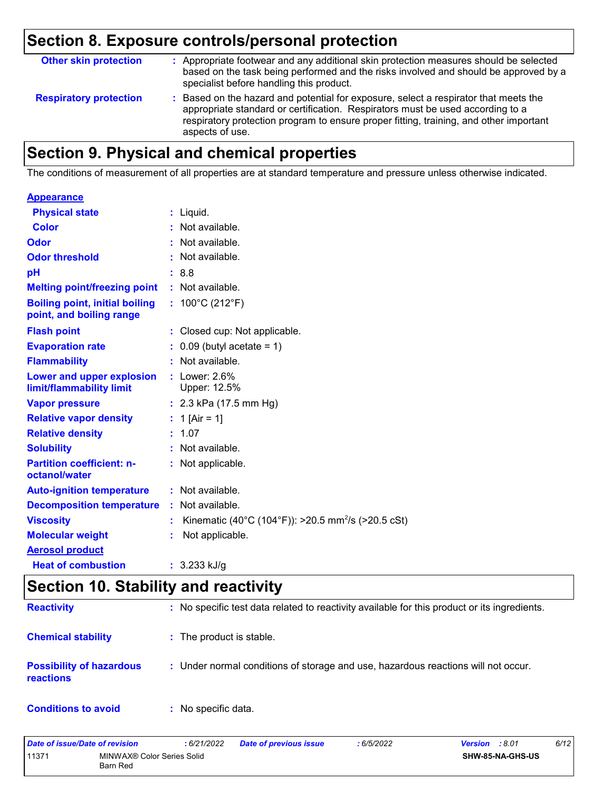# **Section 8. Exposure controls/personal protection**

| <b>Other skin protection</b>  | : Appropriate footwear and any additional skin protection measures should be selected<br>based on the task being performed and the risks involved and should be approved by a<br>specialist before handling this product.                                                           |
|-------------------------------|-------------------------------------------------------------------------------------------------------------------------------------------------------------------------------------------------------------------------------------------------------------------------------------|
| <b>Respiratory protection</b> | : Based on the hazard and potential for exposure, select a respirator that meets the<br>appropriate standard or certification. Respirators must be used according to a<br>respiratory protection program to ensure proper fitting, training, and other important<br>aspects of use. |

# **Section 9. Physical and chemical properties**

The conditions of measurement of all properties are at standard temperature and pressure unless otherwise indicated.

| $:$ Liquid.                                                          |
|----------------------------------------------------------------------|
| : Not available.                                                     |
| : Not available.                                                     |
| : Not available.                                                     |
| : 8.8                                                                |
| $:$ Not available.                                                   |
| : $100^{\circ}$ C (212 $^{\circ}$ F)                                 |
| : Closed cup: Not applicable.                                        |
| $0.09$ (butyl acetate = 1)                                           |
| : Not available.                                                     |
| : Lower: 2.6%<br>Upper: 12.5%                                        |
| : $2.3$ kPa (17.5 mm Hg)                                             |
| : 1 [Air = 1]                                                        |
| : 1.07                                                               |
| : Not available.                                                     |
| : Not applicable.                                                    |
| : Not available.                                                     |
| $:$ Not available.                                                   |
| Kinematic (40°C (104°F)): >20.5 mm <sup>2</sup> /s (>20.5 cSt)<br>t. |
| Not applicable.                                                      |
|                                                                      |
| : $3.233$ kJ/g                                                       |
|                                                                      |

# **Section 10. Stability and reactivity**

| <b>Reactivity</b>                            | : No specific test data related to reactivity available for this product or its ingredients. |
|----------------------------------------------|----------------------------------------------------------------------------------------------|
| <b>Chemical stability</b>                    | : The product is stable.                                                                     |
| <b>Possibility of hazardous</b><br>reactions | : Under normal conditions of storage and use, hazardous reactions will not occur.            |
| <b>Conditions to avoid</b>                   | : No specific data.                                                                          |

| Date of issue/Date of revision |                                               | : 6/21/2022 | <b>Date of previous issue</b> | 6/5/2022 | <b>Version</b> : 8.01 | 6/12 |
|--------------------------------|-----------------------------------------------|-------------|-------------------------------|----------|-----------------------|------|
| 11371                          | MINWAX® Color Series Solid<br><b>Barn Red</b> |             |                               |          | SHW-85-NA-GHS-US      |      |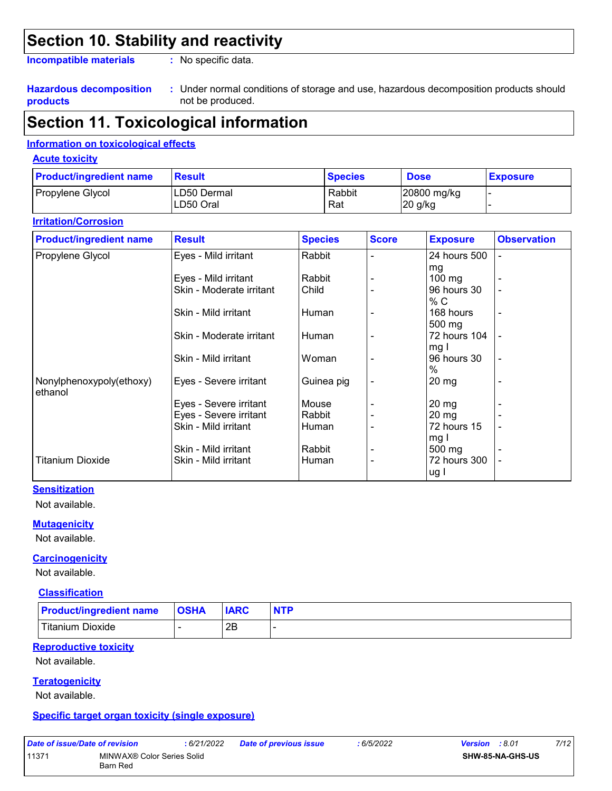# **Section 10. Stability and reactivity**

**Incompatible materials :**

: No specific data.

#### **Hazardous decomposition products**

Under normal conditions of storage and use, hazardous decomposition products should **:** not be produced.

# **Section 11. Toxicological information**

### **Information on toxicological effects**

#### **Acute toxicity**

| <b>Product/ingredient name</b> | Result       | <b>Species</b> | <b>Dose</b> | <u>I Exposure</u> |
|--------------------------------|--------------|----------------|-------------|-------------------|
| Propylene Glycol               | ILD50 Dermal | Rabbit         | 20800 mg/kg |                   |
|                                | ILD50 Oral   | Rat            | 20 g/kg     |                   |

#### **Irritation/Corrosion**

| <b>Product/ingredient name</b>      | <b>Result</b>            | <b>Species</b> | <b>Score</b> | <b>Exposure</b>      | <b>Observation</b> |
|-------------------------------------|--------------------------|----------------|--------------|----------------------|--------------------|
| Propylene Glycol                    | Eyes - Mild irritant     | Rabbit         |              | 24 hours 500         | $\blacksquare$     |
|                                     |                          |                |              | mg                   |                    |
|                                     | Eyes - Mild irritant     | Rabbit         |              | $100 \text{ mg}$     |                    |
|                                     | Skin - Moderate irritant | Child          |              | 96 hours 30<br>% C   |                    |
|                                     | Skin - Mild irritant     | Human          |              | 168 hours<br>500 mg  | $\blacksquare$     |
|                                     | Skin - Moderate irritant | Human          |              | 72 hours 104<br>mg I |                    |
|                                     | Skin - Mild irritant     | Woman          |              | 96 hours 30<br>$\%$  |                    |
| Nonylphenoxypoly(ethoxy)<br>ethanol | Eyes - Severe irritant   | Guinea pig     |              | $20 \,\mathrm{mg}$   |                    |
|                                     | Eyes - Severe irritant   | Mouse          |              | $20 \,\mathrm{mg}$   |                    |
|                                     | Eyes - Severe irritant   | Rabbit         |              | $20 \, mg$           |                    |
|                                     | Skin - Mild irritant     | Human          |              | 72 hours 15          |                    |
|                                     | Skin - Mild irritant     | Rabbit         |              | mg I<br>500 mg       |                    |
| <b>Titanium Dioxide</b>             | Skin - Mild irritant     | Human          |              | 72 hours 300<br>ug l |                    |

### **Sensitization**

Not available.

#### **Mutagenicity**

Not available.

#### **Carcinogenicity**

Not available.

#### **Classification**

| <b>Product/ingredient name</b> | <b>OSHA</b> | <b>IARC</b> |  |
|--------------------------------|-------------|-------------|--|
| <b>Titanium Dioxide</b>        |             | 2B          |  |

#### **Reproductive toxicity**

Not available.

#### **Teratogenicity**

Not available.

#### **Specific target organ toxicity (single exposure)**

|       | Date of issue/Date of revision |                 |  |
|-------|--------------------------------|-----------------|--|
| 11371 |                                | <b>MINIMAY®</b> |  |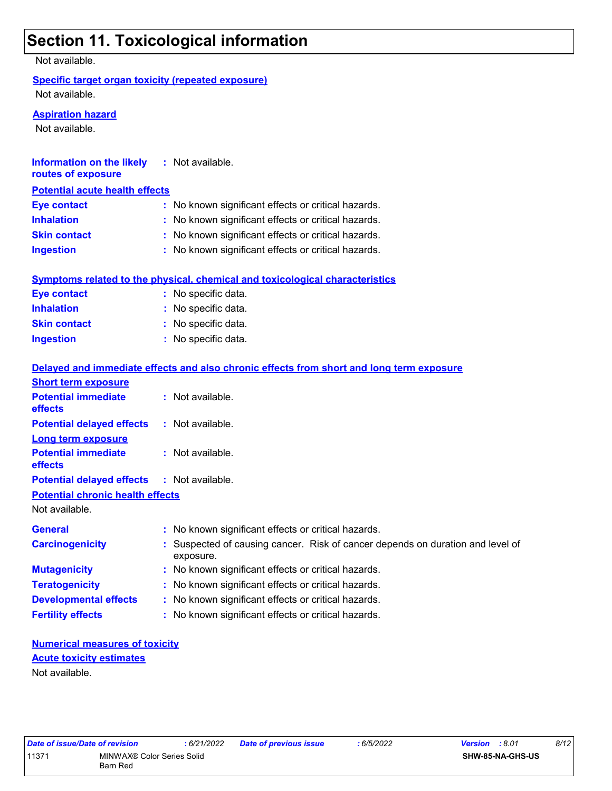# **Section 11. Toxicological information**

Not available.

### **Specific target organ toxicity (repeated exposure)**

Not available.

#### **Aspiration hazard**

Not available.

| Information on the likely             | : Not available.                                    |
|---------------------------------------|-----------------------------------------------------|
| <b>Potential acute health effects</b> |                                                     |
|                                       | : No known significant effects or critical hazards. |
|                                       | : No known significant effects or critical hazards. |
|                                       | : No known significant effects or critical hazards. |
|                                       | : No known significant effects or critical hazards. |
|                                       |                                                     |

|                     | Symptoms related to the physical, chemical and toxicological characteristics |
|---------------------|------------------------------------------------------------------------------|
| Eye contact         | : No specific data.                                                          |
| <b>Inhalation</b>   | : No specific data.                                                          |
| <b>Skin contact</b> | : No specific data.                                                          |
| Ingestion           | : No specific data.                                                          |

|                                                   | Delayed and immediate effects and also chronic effects from short and long term exposure    |
|---------------------------------------------------|---------------------------------------------------------------------------------------------|
| <b>Short term exposure</b>                        |                                                                                             |
| <b>Potential immediate</b><br><b>effects</b>      | $\therefore$ Not available.                                                                 |
| <b>Potential delayed effects</b>                  | : Not available.                                                                            |
| <b>Long term exposure</b>                         |                                                                                             |
| <b>Potential immediate</b><br>effects             | : Not available.                                                                            |
| <b>Potential delayed effects : Not available.</b> |                                                                                             |
| <b>Potential chronic health effects</b>           |                                                                                             |
| Not available.                                    |                                                                                             |
| <b>General</b>                                    | : No known significant effects or critical hazards.                                         |
| <b>Carcinogenicity</b>                            | : Suspected of causing cancer. Risk of cancer depends on duration and level of<br>exposure. |
| <b>Mutagenicity</b>                               | : No known significant effects or critical hazards.                                         |
| <b>Teratogenicity</b>                             | : No known significant effects or critical hazards.                                         |
| <b>Developmental effects</b>                      | : No known significant effects or critical hazards.                                         |
| <b>Fertility effects</b>                          | : No known significant effects or critical hazards.                                         |

### **Numerical measures of toxicity** Not available. **Acute toxicity estimates**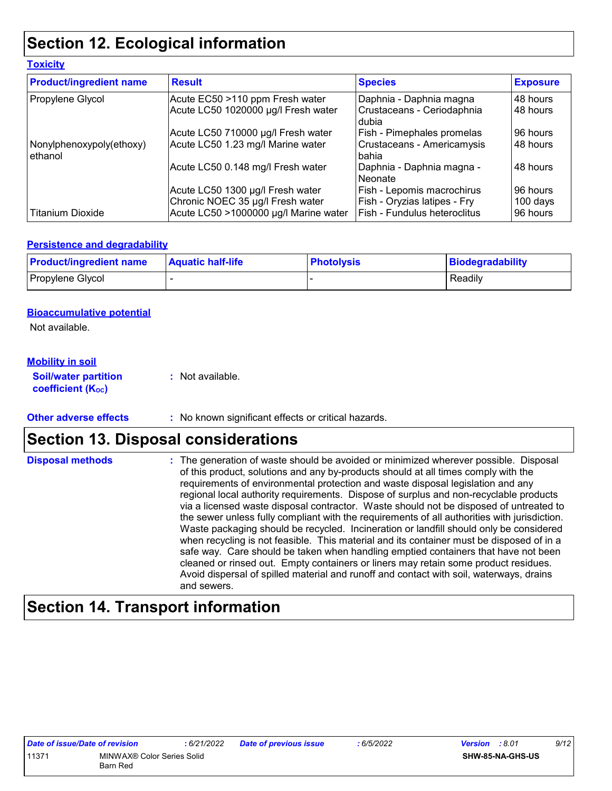# **Section 12. Ecological information**

| <b>Toxicity</b>                     |                                                                                                               |                                                                                            |                                  |
|-------------------------------------|---------------------------------------------------------------------------------------------------------------|--------------------------------------------------------------------------------------------|----------------------------------|
| <b>Product/ingredient name</b>      | <b>Result</b>                                                                                                 | <b>Species</b>                                                                             | <b>Exposure</b>                  |
| Propylene Glycol                    | Acute EC50 >110 ppm Fresh water<br>Acute LC50 1020000 µg/l Fresh water                                        | Daphnia - Daphnia magna<br>Crustaceans - Ceriodaphnia<br>dubia                             | 48 hours<br>48 hours             |
|                                     | Acute LC50 710000 µg/l Fresh water                                                                            | Fish - Pimephales promelas                                                                 | 96 hours                         |
| Nonylphenoxypoly(ethoxy)<br>ethanol | Acute LC50 1.23 mg/l Marine water                                                                             | Crustaceans - Americamysis<br>bahia                                                        | 48 hours                         |
|                                     | Acute LC50 0.148 mg/l Fresh water                                                                             | Daphnia - Daphnia magna -<br>Neonate                                                       | 48 hours                         |
| <b>Titanium Dioxide</b>             | Acute LC50 1300 µg/l Fresh water<br>Chronic NOEC 35 µg/l Fresh water<br>Acute LC50 >1000000 µg/l Marine water | Fish - Lepomis macrochirus<br>Fish - Oryzias latipes - Fry<br>Fish - Fundulus heteroclitus | 96 hours<br>100 days<br>96 hours |

### **Persistence and degradability**

| <b>Product/ingredient name</b> | <b>Aquatic half-life</b> | <b>Photolysis</b> | Biodegradability |
|--------------------------------|--------------------------|-------------------|------------------|
| Propylene Glycol               |                          |                   | Readily          |

### **Bioaccumulative potential**

Not available.

### **Mobility in soil**

**Soil/water partition coefficient (K**<sub>oc</sub>) **:** Not available.

**Other adverse effects** : No known significant effects or critical hazards.

# **Section 13. Disposal considerations**

The generation of waste should be avoided or minimized wherever possible. Disposal of this product, solutions and any by-products should at all times comply with the requirements of environmental protection and waste disposal legislation and any regional local authority requirements. Dispose of surplus and non-recyclable products via a licensed waste disposal contractor. Waste should not be disposed of untreated to the sewer unless fully compliant with the requirements of all authorities with jurisdiction. Waste packaging should be recycled. Incineration or landfill should only be considered when recycling is not feasible. This material and its container must be disposed of in a safe way. Care should be taken when handling emptied containers that have not been cleaned or rinsed out. Empty containers or liners may retain some product residues. Avoid dispersal of spilled material and runoff and contact with soil, waterways, drains and sewers. **Disposal methods :**

# **Section 14. Transport information**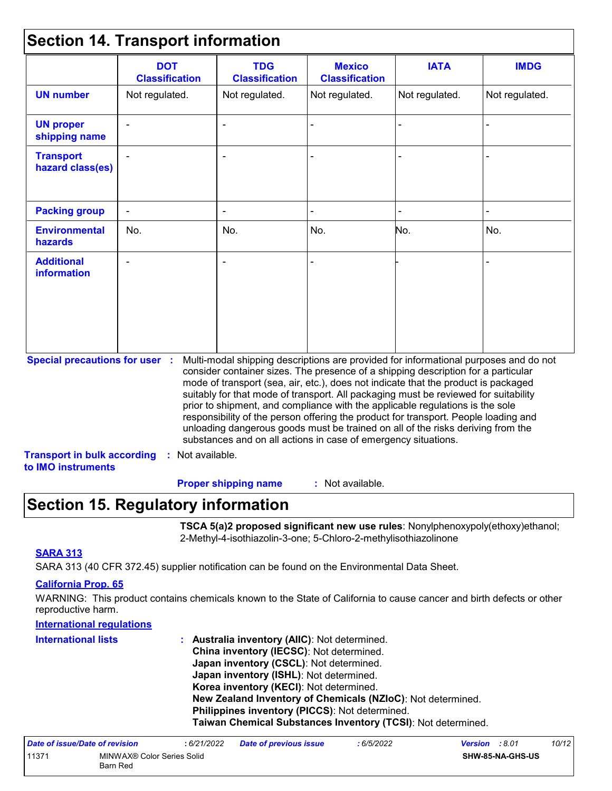## **Section 14. Transport information**

|                                                                             | <b>DOT</b><br><b>Classification</b> | <b>TDG</b><br><b>Classification</b>                            | <b>Mexico</b><br><b>Classification</b> | <b>IATA</b>                                                                                                                                                                                                                                                                                                                                                                                                                                                                                                                                                                                                       | <b>IMDG</b>    |
|-----------------------------------------------------------------------------|-------------------------------------|----------------------------------------------------------------|----------------------------------------|-------------------------------------------------------------------------------------------------------------------------------------------------------------------------------------------------------------------------------------------------------------------------------------------------------------------------------------------------------------------------------------------------------------------------------------------------------------------------------------------------------------------------------------------------------------------------------------------------------------------|----------------|
| <b>UN number</b>                                                            | Not regulated.                      | Not regulated.                                                 | Not regulated.                         | Not regulated.                                                                                                                                                                                                                                                                                                                                                                                                                                                                                                                                                                                                    | Not regulated. |
| <b>UN proper</b><br>shipping name                                           |                                     | $\blacksquare$                                                 |                                        |                                                                                                                                                                                                                                                                                                                                                                                                                                                                                                                                                                                                                   |                |
| <b>Transport</b><br>hazard class(es)                                        |                                     |                                                                |                                        |                                                                                                                                                                                                                                                                                                                                                                                                                                                                                                                                                                                                                   |                |
| <b>Packing group</b>                                                        | $\blacksquare$                      |                                                                |                                        |                                                                                                                                                                                                                                                                                                                                                                                                                                                                                                                                                                                                                   |                |
| <b>Environmental</b><br>hazards                                             | No.                                 | No.                                                            | No.                                    | No.                                                                                                                                                                                                                                                                                                                                                                                                                                                                                                                                                                                                               | No.            |
| <b>Additional</b><br><b>information</b>                                     |                                     |                                                                |                                        |                                                                                                                                                                                                                                                                                                                                                                                                                                                                                                                                                                                                                   |                |
| <b>Special precautions for user :</b><br><b>Transport in bulk according</b> | : Not available.                    | substances and on all actions in case of emergency situations. |                                        | Multi-modal shipping descriptions are provided for informational purposes and do not<br>consider container sizes. The presence of a shipping description for a particular<br>mode of transport (sea, air, etc.), does not indicate that the product is packaged<br>suitably for that mode of transport. All packaging must be reviewed for suitability<br>prior to shipment, and compliance with the applicable regulations is the sole<br>responsibility of the person offering the product for transport. People loading and<br>unloading dangerous goods must be trained on all of the risks deriving from the |                |

: Not available. **Proper shipping name :**

## **Section 15. Regulatory information**

**TSCA 5(a)2 proposed significant new use rules**: Nonylphenoxypoly(ethoxy)ethanol; 2-Methyl-4-isothiazolin-3-one; 5-Chloro-2-methylisothiazolinone

### **SARA 313**

SARA 313 (40 CFR 372.45) supplier notification can be found on the Environmental Data Sheet.

### **California Prop. 65**

WARNING: This product contains chemicals known to the State of California to cause cancer and birth defects or other reproductive harm.

### **International regulations**

| <b>International lists</b> | : Australia inventory (AIIC): Not determined.                |
|----------------------------|--------------------------------------------------------------|
|                            | China inventory (IECSC): Not determined.                     |
|                            | Japan inventory (CSCL): Not determined.                      |
|                            | Japan inventory (ISHL): Not determined.                      |
|                            | Korea inventory (KECI): Not determined.                      |
|                            | New Zealand Inventory of Chemicals (NZIoC): Not determined.  |
|                            | Philippines inventory (PICCS): Not determined.               |
|                            | Taiwan Chemical Substances Inventory (TCSI): Not determined. |

| Date of issue/Date of revision |                                        | : 6/21/2022 | <b>Date of previous issue</b> | : 6/5/2022 | <b>Version</b> : 8.01 |                         | 10/12 |
|--------------------------------|----------------------------------------|-------------|-------------------------------|------------|-----------------------|-------------------------|-------|
| 11371                          | MINWAX® Color Series Solid<br>Barn Red |             |                               |            |                       | <b>SHW-85-NA-GHS-US</b> |       |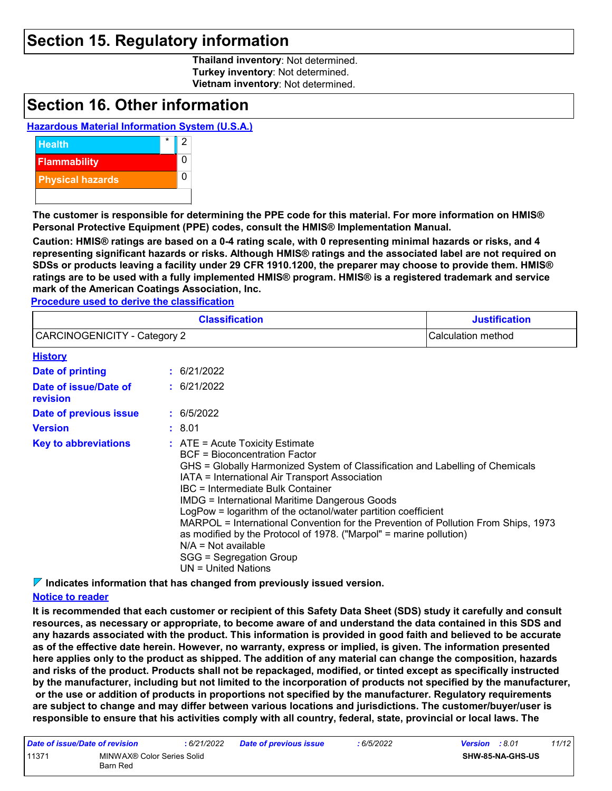## **Section 15. Regulatory information**

**Thailand inventory**: Not determined. **Turkey inventory**: Not determined. **Vietnam inventory**: Not determined.

## **Section 16. Other information**

### **Hazardous Material Information System (U.S.A.)**



**The customer is responsible for determining the PPE code for this material. For more information on HMIS® Personal Protective Equipment (PPE) codes, consult the HMIS® Implementation Manual.**

**Caution: HMIS® ratings are based on a 0-4 rating scale, with 0 representing minimal hazards or risks, and 4 representing significant hazards or risks. Although HMIS® ratings and the associated label are not required on SDSs or products leaving a facility under 29 CFR 1910.1200, the preparer may choose to provide them. HMIS® ratings are to be used with a fully implemented HMIS® program. HMIS® is a registered trademark and service mark of the American Coatings Association, Inc.**

**Procedure used to derive the classification**

|                                     | <b>Justification</b>                                                                                                                                                                                                                                                                                                                                                                                                                                                                                                                                                                                                       |  |
|-------------------------------------|----------------------------------------------------------------------------------------------------------------------------------------------------------------------------------------------------------------------------------------------------------------------------------------------------------------------------------------------------------------------------------------------------------------------------------------------------------------------------------------------------------------------------------------------------------------------------------------------------------------------------|--|
| <b>CARCINOGENICITY - Category 2</b> | Calculation method                                                                                                                                                                                                                                                                                                                                                                                                                                                                                                                                                                                                         |  |
| <b>History</b>                      |                                                                                                                                                                                                                                                                                                                                                                                                                                                                                                                                                                                                                            |  |
| Date of printing                    | : 6/21/2022                                                                                                                                                                                                                                                                                                                                                                                                                                                                                                                                                                                                                |  |
| Date of issue/Date of<br>revision   | : 6/21/2022                                                                                                                                                                                                                                                                                                                                                                                                                                                                                                                                                                                                                |  |
| Date of previous issue              | : 6/5/2022                                                                                                                                                                                                                                                                                                                                                                                                                                                                                                                                                                                                                 |  |
| <b>Version</b>                      | : 8.01                                                                                                                                                                                                                                                                                                                                                                                                                                                                                                                                                                                                                     |  |
| <b>Key to abbreviations</b>         | $\therefore$ ATE = Acute Toxicity Estimate<br><b>BCF</b> = Bioconcentration Factor<br>GHS = Globally Harmonized System of Classification and Labelling of Chemicals<br>IATA = International Air Transport Association<br>IBC = Intermediate Bulk Container<br><b>IMDG = International Maritime Dangerous Goods</b><br>LogPow = logarithm of the octanol/water partition coefficient<br>MARPOL = International Convention for the Prevention of Pollution From Ships, 1973<br>as modified by the Protocol of 1978. ("Marpol" = marine pollution)<br>$N/A = Not available$<br>SGG = Segregation Group<br>UN = United Nations |  |

**Indicates information that has changed from previously issued version.**

#### **Notice to reader**

**It is recommended that each customer or recipient of this Safety Data Sheet (SDS) study it carefully and consult resources, as necessary or appropriate, to become aware of and understand the data contained in this SDS and any hazards associated with the product. This information is provided in good faith and believed to be accurate as of the effective date herein. However, no warranty, express or implied, is given. The information presented here applies only to the product as shipped. The addition of any material can change the composition, hazards and risks of the product. Products shall not be repackaged, modified, or tinted except as specifically instructed by the manufacturer, including but not limited to the incorporation of products not specified by the manufacturer, or the use or addition of products in proportions not specified by the manufacturer. Regulatory requirements are subject to change and may differ between various locations and jurisdictions. The customer/buyer/user is responsible to ensure that his activities comply with all country, federal, state, provincial or local laws. The** 

| Date of issue/Date of revision |                                        | : 6/21/2022 | <b>Date of previous issue</b> | : 6/5/2022 | <b>Version</b> : 8.01 |                         | 11/12 |
|--------------------------------|----------------------------------------|-------------|-------------------------------|------------|-----------------------|-------------------------|-------|
| 11371                          | MINWAX® Color Series Solid<br>Barn Red |             |                               |            |                       | <b>SHW-85-NA-GHS-US</b> |       |